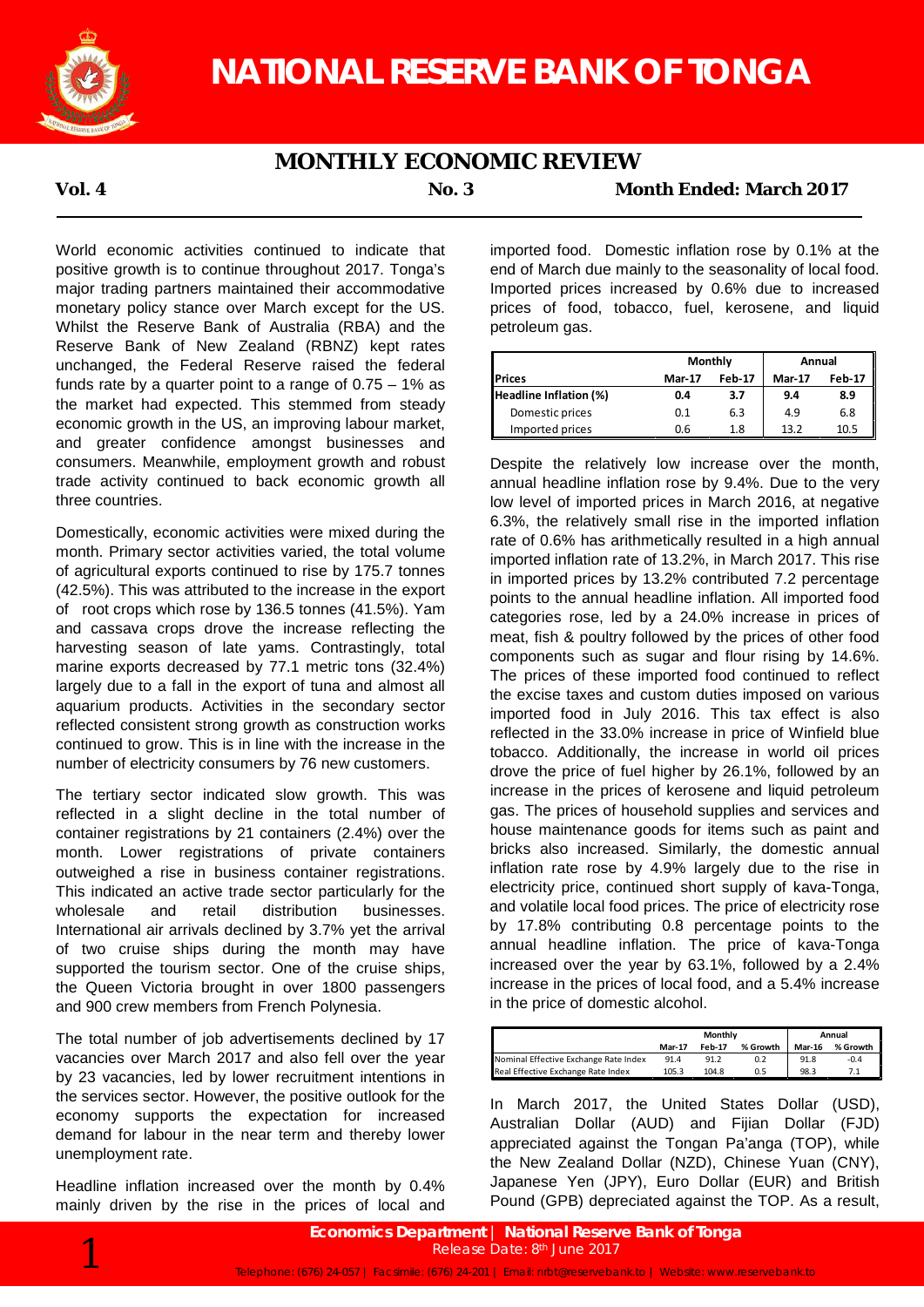

## **MONTHLY ECONOMIC REVIEW**

**Vol. 4 No. 3 Month Ended: March 2017**

World economic activities continued to indicate that positive growth is to continue throughout 2017. Tonga's major trading partners maintained their accommodative monetary policy stance over March except for the US. Whilst the Reserve Bank of Australia (RBA) and the Reserve Bank of New Zealand (RBNZ) kept rates unchanged, the Federal Reserve raised the federal funds rate by a quarter point to a range of  $0.75 - 1\%$  as the market had expected. This stemmed from steady economic growth in the US, an improving labour market, and greater confidence amongst businesses and consumers. Meanwhile, employment growth and robust trade activity continued to back economic growth all three countries.

Domestically, economic activities were mixed during the month. Primary sector activities varied, the total volume of agricultural exports continued to rise by 175.7 tonnes (42.5%). This was attributed to the increase in the export of root crops which rose by 136.5 tonnes (41.5%). Yam and cassava crops drove the increase reflecting the harvesting season of late yams. Contrastingly, total marine exports decreased by 77.1 metric tons (32.4%) largely due to a fall in the export of tuna and almost all aquarium products. Activities in the secondary sector reflected consistent strong growth as construction works continued to grow. This is in line with the increase in the number of electricity consumers by 76 new customers.

The tertiary sector indicated slow growth. This was reflected in a slight decline in the total number of container registrations by 21 containers (2.4%) over the month. Lower registrations of private containers outweighed a rise in business container registrations. This indicated an active trade sector particularly for the wholesale and retail distribution businesses. International air arrivals declined by 3.7% yet the arrival of two cruise ships during the month may have supported the tourism sector. One of the cruise ships, the Queen Victoria brought in over 1800 passengers and 900 crew members from French Polynesia.

The total number of job advertisements declined by 17 vacancies over March 2017 and also fell over the year by 23 vacancies, led by lower recruitment intentions in the services sector. However, the positive outlook for the economy supports the expectation for increased demand for labour in the near term and thereby lower unemployment rate.

Headline inflation increased over the month by 0.4% mainly driven by the rise in the prices of local and

imported food. Domestic inflation rose by 0.1% at the end of March due mainly to the seasonality of local food. Imported prices increased by 0.6% due to increased prices of food, tobacco, fuel, kerosene, and liquid petroleum gas.

|                        | Monthly       |                                | Annual |               |  |
|------------------------|---------------|--------------------------------|--------|---------------|--|
| <b>Prices</b>          | <b>Mar-17</b> | <b>Feb-17</b><br><b>Mar-17</b> |        | <b>Feb-17</b> |  |
| Headline Inflation (%) | 0.4           | 3.7                            | 9.4    | 8.9           |  |
| Domestic prices        | 0.1           | 6.3                            | 4.9    | 6.8           |  |
| Imported prices        | 0.6           | 1.8                            | 13.2   | 10.5          |  |

Despite the relatively low increase over the month, annual headline inflation rose by 9.4%. Due to the very low level of imported prices in March 2016, at negative 6.3%, the relatively small rise in the imported inflation rate of 0.6% has arithmetically resulted in a high annual imported inflation rate of 13.2%, in March 2017. This rise in imported prices by 13.2% contributed 7.2 percentage points to the annual headline inflation. All imported food categories rose, led by a 24.0% increase in prices of meat, fish & poultry followed by the prices of other food components such as sugar and flour rising by 14.6%. The prices of these imported food continued to reflect the excise taxes and custom duties imposed on various imported food in July 2016. This tax effect is also reflected in the 33.0% increase in price of Winfield blue tobacco. Additionally, the increase in world oil prices drove the price of fuel higher by 26.1%, followed by an increase in the prices of kerosene and liquid petroleum gas. The prices of household supplies and services and house maintenance goods for items such as paint and bricks also increased. Similarly, the domestic annual inflation rate rose by 4.9% largely due to the rise in electricity price, continued short supply of kava-Tonga, and volatile local food prices. The price of electricity rose by 17.8% contributing 0.8 percentage points to the annual headline inflation. The price of kava-Tonga increased over the year by 63.1%, followed by a 2.4% increase in the prices of local food, and a 5.4% increase in the price of domestic alcohol.

|                                       | Monthly       |               |          | Annual        |          |  |
|---------------------------------------|---------------|---------------|----------|---------------|----------|--|
|                                       | <b>Mar-17</b> | <b>Feb-17</b> | % Growth | <b>Mar-16</b> | % Growth |  |
| Nominal Effective Exchange Rate Index | 91.4          | 91.2          |          | 91.8          | $-0.4$   |  |
| Real Effective Exchange Rate Index    | 105.3         | 104.8         |          | 98.3          |          |  |

In March 2017, the United States Dollar (USD), Australian Dollar (AUD) and Fijian Dollar (FJD) appreciated against the Tongan Pa'anga (TOP), while the New Zealand Dollar (NZD), Chinese Yuan (CNY), Japanese Yen (JPY), Euro Dollar (EUR) and British Pound (GPB) depreciated against the TOP. As a result,

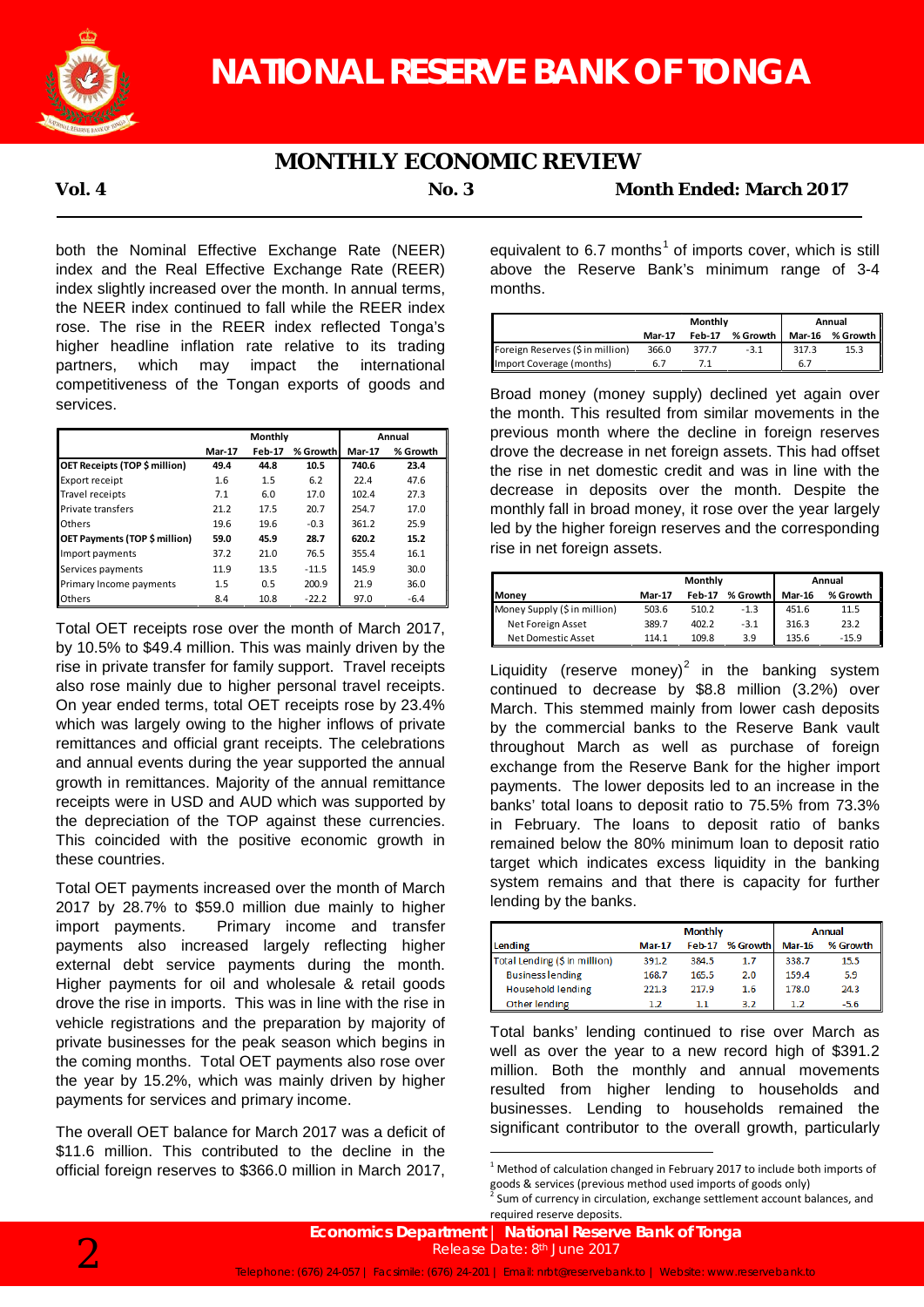

# **MONTHLY ECONOMIC REVIEW**

**Vol. 4 No. 3 Month Ended: March 2017**

both the Nominal Effective Exchange Rate (NEER) index and the Real Effective Exchange Rate (REER) index slightly increased over the month. In annual terms, the NEER index continued to fall while the REER index rose. The rise in the REER index reflected Tonga's higher headline inflation rate relative to its trading partners, which may impact the international competitiveness of the Tongan exports of goods and services.

|                               | Monthly       |               |          | Annual        |          |
|-------------------------------|---------------|---------------|----------|---------------|----------|
|                               | <b>Mar-17</b> | <b>Feb-17</b> | % Growth | <b>Mar-17</b> | % Growth |
| OET Receipts (TOP \$ million) | 49.4          | 44.8          | 10.5     | 740.6         | 23.4     |
| Export receipt                | 1.6           | 1.5           | 6.2      | 22.4          | 47.6     |
| Travel receipts               | 7.1           | 6.0           | 17.0     | 102.4         | 27.3     |
| Private transfers             | 21.2          | 17.5          | 20.7     | 254.7         | 17.0     |
| Others                        | 19.6          | 19.6          | $-0.3$   | 361.2         | 25.9     |
| OET Payments (TOP \$ million) | 59.0          | 45.9          | 28.7     | 620.2         | 15.2     |
| Import payments               | 37.2          | 21.0          | 76.5     | 355.4         | 16.1     |
| Services payments             | 11.9          | 13.5          | $-11.5$  | 145.9         | 30.0     |
| Primary Income payments       | 1.5           | 0.5           | 200.9    | 21.9          | 36.0     |
| <b>Others</b>                 | 8.4           | 10.8          | $-22.2$  | 97.0          | $-6.4$   |

Total OET receipts rose over the month of March 2017, by 10.5% to \$49.4 million. This was mainly driven by the rise in private transfer for family support. Travel receipts also rose mainly due to higher personal travel receipts. On year ended terms, total OET receipts rose by 23.4% which was largely owing to the higher inflows of private remittances and official grant receipts. The celebrations and annual events during the year supported the annual growth in remittances. Majority of the annual remittance receipts were in USD and AUD which was supported by the depreciation of the TOP against these currencies. This coincided with the positive economic growth in these countries.

Total OET payments increased over the month of March 2017 by 28.7% to \$59.0 million due mainly to higher import payments. Primary income and transfer payments also increased largely reflecting higher external debt service payments during the month. Higher payments for oil and wholesale & retail goods drove the rise in imports. This was in line with the rise in vehicle registrations and the preparation by majority of private businesses for the peak season which begins in the coming months. Total OET payments also rose over the year by 15.2%, which was mainly driven by higher payments for services and primary income.

The overall OET balance for March 2017 was a deficit of \$11.6 million. This contributed to the decline in the official foreign reserves to \$366.0 million in March 2017,

equivalent to 6.7 months<sup>1</sup> of imports cover, which is still above the Reserve Bank's minimum range of 3-4 months.

|                                  | Monthly       |               |          | Annual        |             |  |
|----------------------------------|---------------|---------------|----------|---------------|-------------|--|
|                                  | <b>Mar-17</b> | <b>Feb-17</b> | % Growth | <b>Mar-16</b> | % Growth II |  |
| Foreign Reserves (\$ in million) | 366.0         | 377.7         | $-3.1$   | 317.3         | 15.3        |  |
| Import Coverage (months)         |               |               |          | 6.7           |             |  |

Broad money (money supply) declined yet again over the month. This resulted from similar movements in the previous month where the decline in foreign reserves drove the decrease in net foreign assets. This had offset the rise in net domestic credit and was in line with the decrease in deposits over the month. Despite the monthly fall in broad money, it rose over the year largely led by the higher foreign reserves and the corresponding rise in net foreign assets.

|                              | Monthly                                    |       |        | Annual        |          |  |
|------------------------------|--------------------------------------------|-------|--------|---------------|----------|--|
| <b>I</b> Monev               | <b>Feb-17</b><br>% Growth<br><b>Mar-17</b> |       |        | <b>Mar-16</b> | % Growth |  |
| Money Supply (\$ in million) | 503.6                                      | 510.2 | $-1.3$ | 451.6         | 11.5     |  |
| Net Foreign Asset            | 389.7                                      | 402.2 | $-3.1$ | 316.3         | 23.2     |  |
| Net Domestic Asset           | 114.1                                      | 109.8 | 3.9    | 135.6         | $-15.9$  |  |

Liquidity (reserve money)<sup>2</sup> in the banking system continued to decrease by \$8.8 million (3.2%) over March. This stemmed mainly from lower cash deposits by the commercial banks to the Reserve Bank vault throughout March as well as purchase of foreign exchange from the Reserve Bank for the higher import payments. The lower deposits led to an increase in the banks' total loans to deposit ratio to 75.5% from 73.3% in February. The loans to deposit ratio of banks remained below the 80% minimum loan to deposit ratio target which indicates excess liquidity in the banking system remains and that there is capacity for further lending by the banks.

|                               |               | <b>Monthly</b> | <b>Annual</b> |               |          |
|-------------------------------|---------------|----------------|---------------|---------------|----------|
| <b>Lending</b>                | <b>Mar-17</b> | $Feb-17$       | % Growth      | <b>Mar-16</b> | % Growth |
| Total Lending (\$ in million) | 391.2         | 384.5          | 1.7           | 338.7         | 15.5     |
| <b>Business lending</b>       | 168.7         | 165.5          | 2.0           | 159.4         | 5.9      |
| <b>Household lending</b>      | 221.3         | 217.9          | 1.6           | 178.0         | 24.3     |
| Other lending                 | 1.2           | 1.1            | 3.2           | 1.2           | $-5.6$   |

Total banks' lending continued to rise over March as well as over the year to a new record high of \$391.2 million. Both the monthly and annual movements resulted from higher lending to households and businesses. Lending to households remained the significant contributor to the overall growth, particularly

 $1$  Method of calculation changed in February 2017 to include both imports of goods & services (previous method used imports of goods only)

Sum of currency in circulation, exchange settlement account balances, and required reserve deposits.